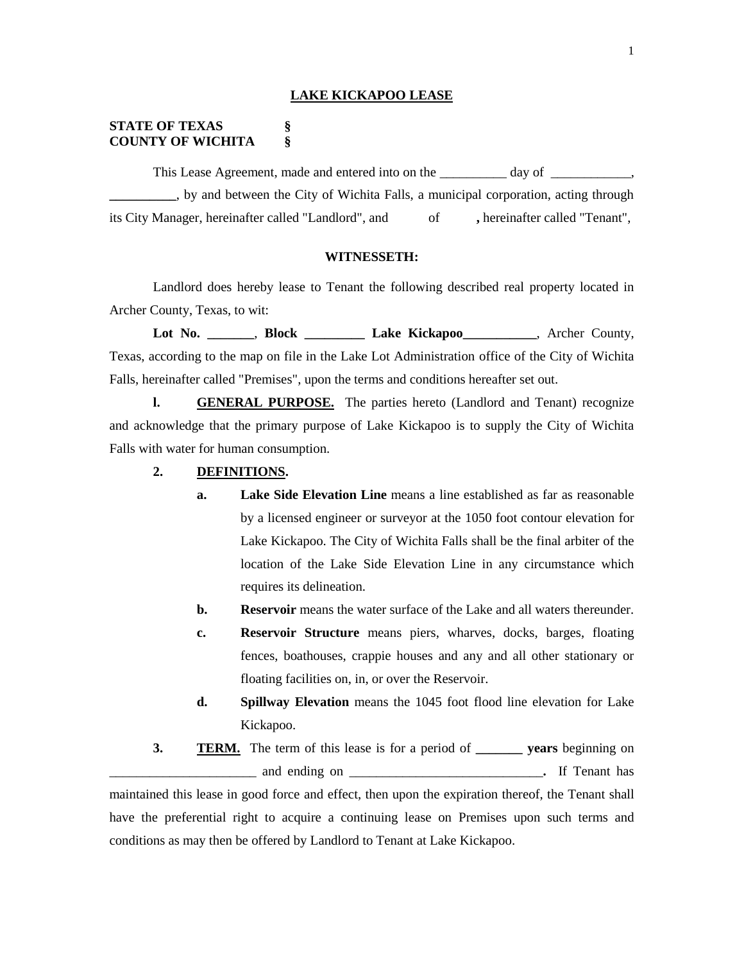#### **LAKE KICKAPOO LEASE**

## **STATE OF TEXAS § COUNTY OF WICHITA §**

This Lease Agreement, made and entered into on the \_\_\_\_\_\_\_\_\_ day of \_\_\_\_\_\_\_\_\_\_\_ **\_\_\_\_\_\_\_\_\_\_**, by and between the City of Wichita Falls, a municipal corporation, acting through its City Manager, hereinafter called "Landlord", and of **,** hereinafter called "Tenant",

#### **WITNESSETH:**

Landlord does hereby lease to Tenant the following described real property located in Archer County, Texas, to wit:

**Lot No. \_\_\_\_\_\_\_**, **Block \_\_\_\_\_\_\_\_\_ Lake Kickapoo\_\_\_\_\_\_\_\_\_\_\_**, Archer County, Texas, according to the map on file in the Lake Lot Administration office of the City of Wichita Falls, hereinafter called "Premises", upon the terms and conditions hereafter set out.

**l. GENERAL PURPOSE.** The parties hereto (Landlord and Tenant) recognize and acknowledge that the primary purpose of Lake Kickapoo is to supply the City of Wichita Falls with water for human consumption.

- **2. DEFINITIONS.**
	- **a. Lake Side Elevation Line** means a line established as far as reasonable by a licensed engineer or surveyor at the 1050 foot contour elevation for Lake Kickapoo. The City of Wichita Falls shall be the final arbiter of the location of the Lake Side Elevation Line in any circumstance which requires its delineation.
	- **b. Reservoir** means the water surface of the Lake and all waters thereunder.
	- **c. Reservoir Structure** means piers, wharves, docks, barges, floating fences, boathouses, crappie houses and any and all other stationary or floating facilities on, in, or over the Reservoir.
	- **d. Spillway Elevation** means the 1045 foot flood line elevation for Lake Kickapoo.
- **3. TERM.** The term of this lease is for a period of **\_\_\_\_\_\_\_ years** beginning on \_\_\_\_\_\_\_\_\_\_\_\_\_\_\_\_\_\_\_\_\_\_ and ending on \_\_\_\_\_\_\_\_\_\_\_\_\_\_\_\_\_\_\_\_\_\_\_\_\_\_\_\_\_**.** If Tenant has

maintained this lease in good force and effect, then upon the expiration thereof, the Tenant shall have the preferential right to acquire a continuing lease on Premises upon such terms and conditions as may then be offered by Landlord to Tenant at Lake Kickapoo.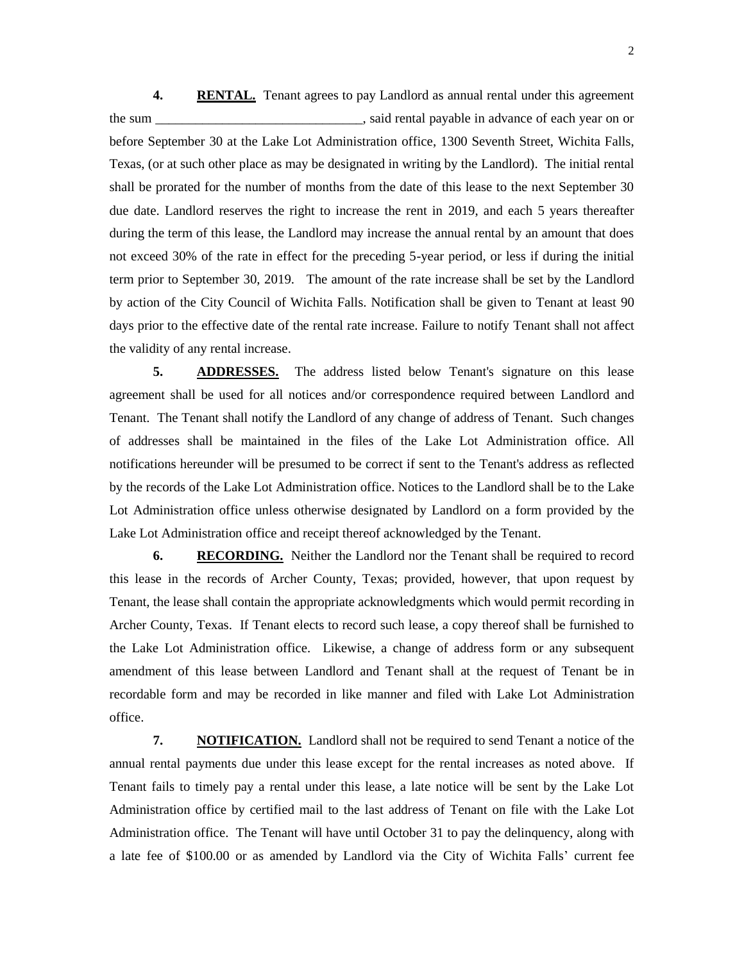**4. RENTAL.** Tenant agrees to pay Landlord as annual rental under this agreement the sum \_\_\_\_\_\_\_\_\_\_\_\_\_\_\_\_\_\_\_\_\_\_\_\_\_\_\_\_\_\_\_, said rental payable in advance of each year on or before September 30 at the Lake Lot Administration office, 1300 Seventh Street, Wichita Falls, Texas, (or at such other place as may be designated in writing by the Landlord). The initial rental shall be prorated for the number of months from the date of this lease to the next September 30 due date. Landlord reserves the right to increase the rent in 2019, and each 5 years thereafter during the term of this lease, the Landlord may increase the annual rental by an amount that does not exceed 30% of the rate in effect for the preceding 5-year period, or less if during the initial term prior to September 30, 2019. The amount of the rate increase shall be set by the Landlord by action of the City Council of Wichita Falls. Notification shall be given to Tenant at least 90 days prior to the effective date of the rental rate increase. Failure to notify Tenant shall not affect the validity of any rental increase.

**5. ADDRESSES.** The address listed below Tenant's signature on this lease agreement shall be used for all notices and/or correspondence required between Landlord and Tenant. The Tenant shall notify the Landlord of any change of address of Tenant. Such changes of addresses shall be maintained in the files of the Lake Lot Administration office. All notifications hereunder will be presumed to be correct if sent to the Tenant's address as reflected by the records of the Lake Lot Administration office. Notices to the Landlord shall be to the Lake Lot Administration office unless otherwise designated by Landlord on a form provided by the Lake Lot Administration office and receipt thereof acknowledged by the Tenant.

**6. RECORDING.** Neither the Landlord nor the Tenant shall be required to record this lease in the records of Archer County, Texas; provided, however, that upon request by Tenant, the lease shall contain the appropriate acknowledgments which would permit recording in Archer County, Texas. If Tenant elects to record such lease, a copy thereof shall be furnished to the Lake Lot Administration office. Likewise, a change of address form or any subsequent amendment of this lease between Landlord and Tenant shall at the request of Tenant be in recordable form and may be recorded in like manner and filed with Lake Lot Administration office.

**7. NOTIFICATION.** Landlord shall not be required to send Tenant a notice of the annual rental payments due under this lease except for the rental increases as noted above. If Tenant fails to timely pay a rental under this lease, a late notice will be sent by the Lake Lot Administration office by certified mail to the last address of Tenant on file with the Lake Lot Administration office. The Tenant will have until October 31 to pay the delinquency, along with a late fee of \$100.00 or as amended by Landlord via the City of Wichita Falls' current fee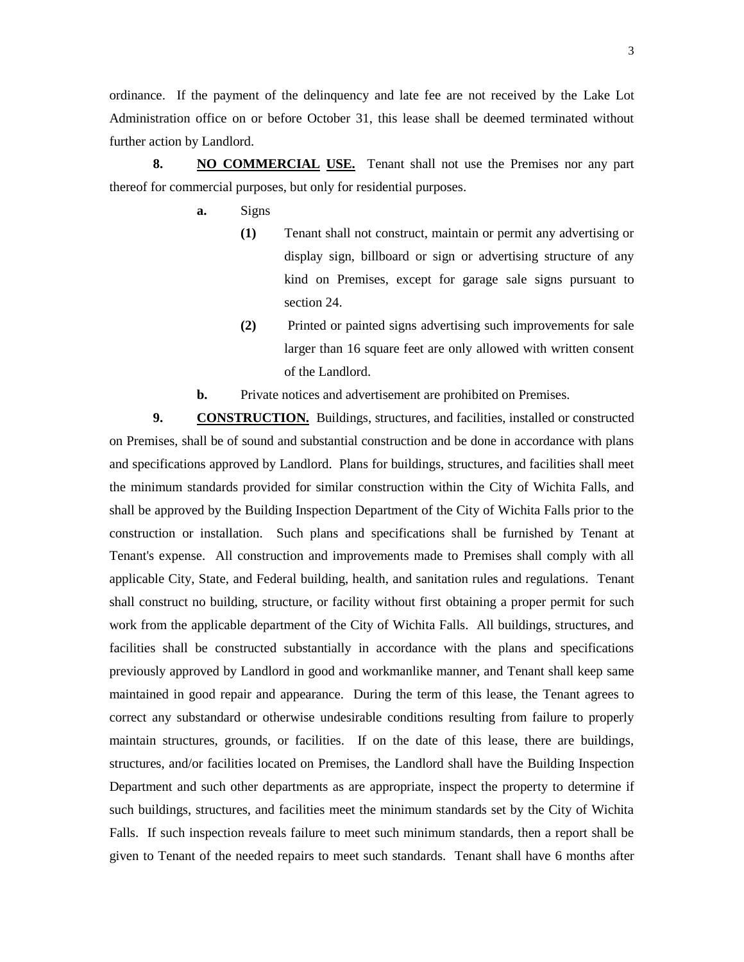ordinance. If the payment of the delinquency and late fee are not received by the Lake Lot Administration office on or before October 31, this lease shall be deemed terminated without further action by Landlord.

**8. NO COMMERCIAL USE.** Tenant shall not use the Premises nor any part thereof for commercial purposes, but only for residential purposes.

- **a.** Signs
	- **(1)** Tenant shall not construct, maintain or permit any advertising or display sign, billboard or sign or advertising structure of any kind on Premises, except for garage sale signs pursuant to section 24.
	- **(2)** Printed or painted signs advertising such improvements for sale larger than 16 square feet are only allowed with written consent of the Landlord.
- **b.** Private notices and advertisement are prohibited on Premises.

**9. CONSTRUCTION.** Buildings, structures, and facilities, installed or constructed on Premises, shall be of sound and substantial construction and be done in accordance with plans and specifications approved by Landlord. Plans for buildings, structures, and facilities shall meet the minimum standards provided for similar construction within the City of Wichita Falls, and shall be approved by the Building Inspection Department of the City of Wichita Falls prior to the construction or installation. Such plans and specifications shall be furnished by Tenant at Tenant's expense. All construction and improvements made to Premises shall comply with all applicable City, State, and Federal building, health, and sanitation rules and regulations. Tenant shall construct no building, structure, or facility without first obtaining a proper permit for such work from the applicable department of the City of Wichita Falls. All buildings, structures, and facilities shall be constructed substantially in accordance with the plans and specifications previously approved by Landlord in good and workmanlike manner, and Tenant shall keep same maintained in good repair and appearance. During the term of this lease, the Tenant agrees to correct any substandard or otherwise undesirable conditions resulting from failure to properly maintain structures, grounds, or facilities. If on the date of this lease, there are buildings, structures, and/or facilities located on Premises, the Landlord shall have the Building Inspection Department and such other departments as are appropriate, inspect the property to determine if such buildings, structures, and facilities meet the minimum standards set by the City of Wichita Falls. If such inspection reveals failure to meet such minimum standards, then a report shall be given to Tenant of the needed repairs to meet such standards. Tenant shall have 6 months after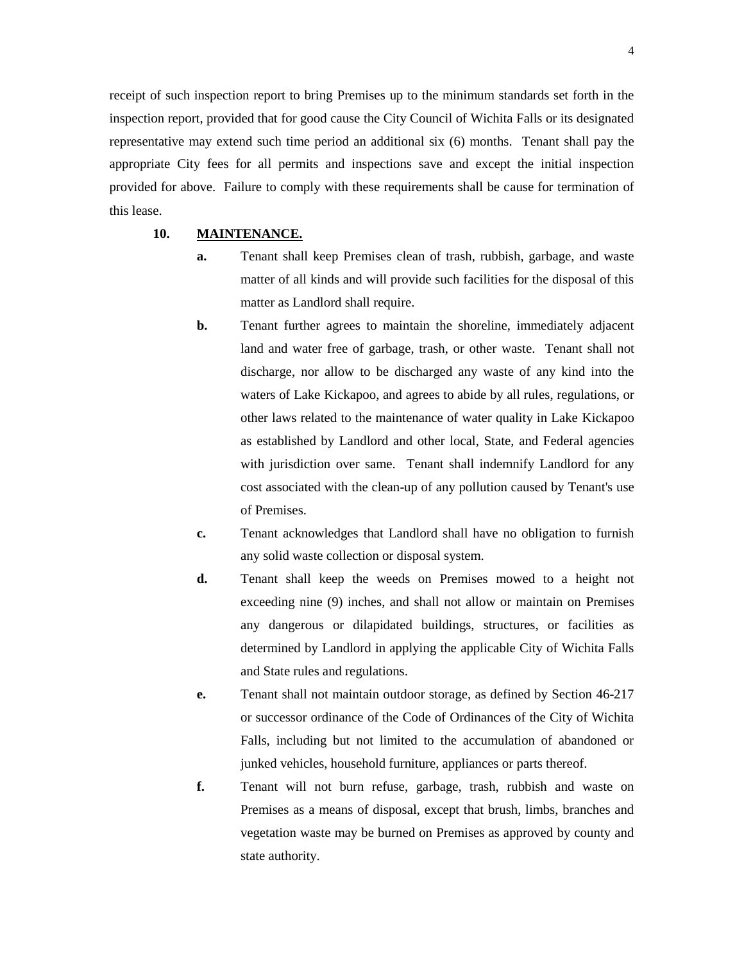receipt of such inspection report to bring Premises up to the minimum standards set forth in the inspection report, provided that for good cause the City Council of Wichita Falls or its designated representative may extend such time period an additional six (6) months. Tenant shall pay the appropriate City fees for all permits and inspections save and except the initial inspection provided for above. Failure to comply with these requirements shall be cause for termination of this lease.

## **10. MAINTENANCE.**

- **a.** Tenant shall keep Premises clean of trash, rubbish, garbage, and waste matter of all kinds and will provide such facilities for the disposal of this matter as Landlord shall require.
- **b.** Tenant further agrees to maintain the shoreline, immediately adjacent land and water free of garbage, trash, or other waste. Tenant shall not discharge, nor allow to be discharged any waste of any kind into the waters of Lake Kickapoo, and agrees to abide by all rules, regulations, or other laws related to the maintenance of water quality in Lake Kickapoo as established by Landlord and other local, State, and Federal agencies with jurisdiction over same. Tenant shall indemnify Landlord for any cost associated with the clean-up of any pollution caused by Tenant's use of Premises.
- **c.** Tenant acknowledges that Landlord shall have no obligation to furnish any solid waste collection or disposal system.
- **d.** Tenant shall keep the weeds on Premises mowed to a height not exceeding nine (9) inches, and shall not allow or maintain on Premises any dangerous or dilapidated buildings, structures, or facilities as determined by Landlord in applying the applicable City of Wichita Falls and State rules and regulations.
- **e.** Tenant shall not maintain outdoor storage, as defined by Section 46-217 or successor ordinance of the Code of Ordinances of the City of Wichita Falls, including but not limited to the accumulation of abandoned or junked vehicles, household furniture, appliances or parts thereof.
- **f.** Tenant will not burn refuse, garbage, trash, rubbish and waste on Premises as a means of disposal, except that brush, limbs, branches and vegetation waste may be burned on Premises as approved by county and state authority.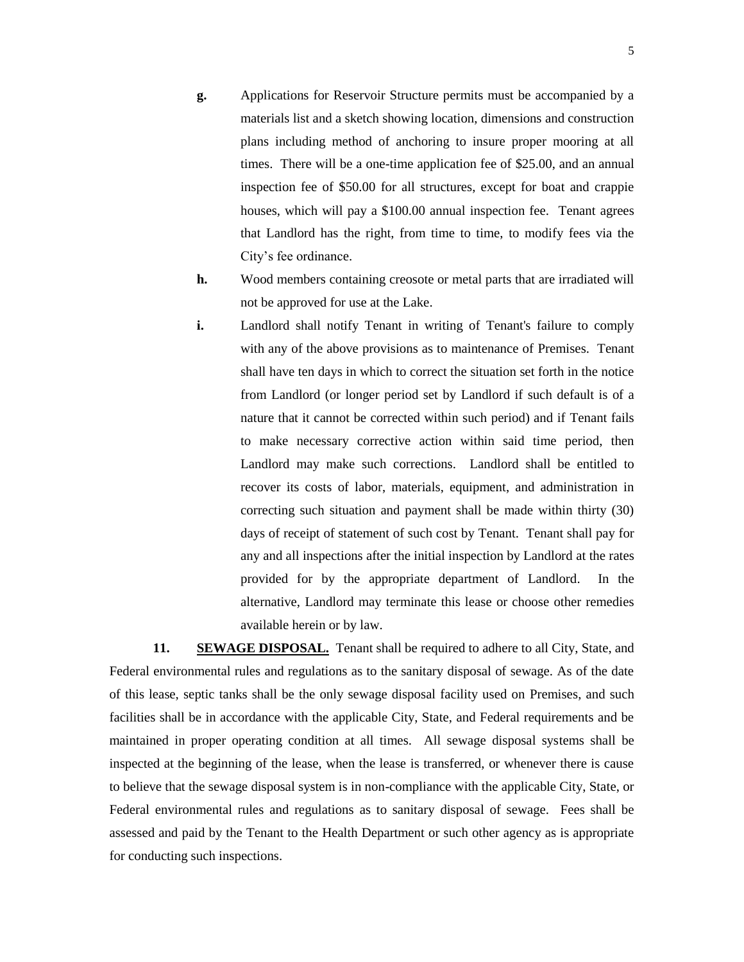- **g.** Applications for Reservoir Structure permits must be accompanied by a materials list and a sketch showing location, dimensions and construction plans including method of anchoring to insure proper mooring at all times. There will be a one-time application fee of \$25.00, and an annual inspection fee of \$50.00 for all structures, except for boat and crappie houses, which will pay a \$100.00 annual inspection fee. Tenant agrees that Landlord has the right, from time to time, to modify fees via the City's fee ordinance.
- **h.** Wood members containing creosote or metal parts that are irradiated will not be approved for use at the Lake.
- **i.** Landlord shall notify Tenant in writing of Tenant's failure to comply with any of the above provisions as to maintenance of Premises. Tenant shall have ten days in which to correct the situation set forth in the notice from Landlord (or longer period set by Landlord if such default is of a nature that it cannot be corrected within such period) and if Tenant fails to make necessary corrective action within said time period, then Landlord may make such corrections. Landlord shall be entitled to recover its costs of labor, materials, equipment, and administration in correcting such situation and payment shall be made within thirty (30) days of receipt of statement of such cost by Tenant. Tenant shall pay for any and all inspections after the initial inspection by Landlord at the rates provided for by the appropriate department of Landlord. In the alternative, Landlord may terminate this lease or choose other remedies available herein or by law.

**11. SEWAGE DISPOSAL.** Tenant shall be required to adhere to all City, State, and Federal environmental rules and regulations as to the sanitary disposal of sewage. As of the date of this lease, septic tanks shall be the only sewage disposal facility used on Premises, and such facilities shall be in accordance with the applicable City, State, and Federal requirements and be maintained in proper operating condition at all times. All sewage disposal systems shall be inspected at the beginning of the lease, when the lease is transferred, or whenever there is cause to believe that the sewage disposal system is in non-compliance with the applicable City, State, or Federal environmental rules and regulations as to sanitary disposal of sewage. Fees shall be assessed and paid by the Tenant to the Health Department or such other agency as is appropriate for conducting such inspections.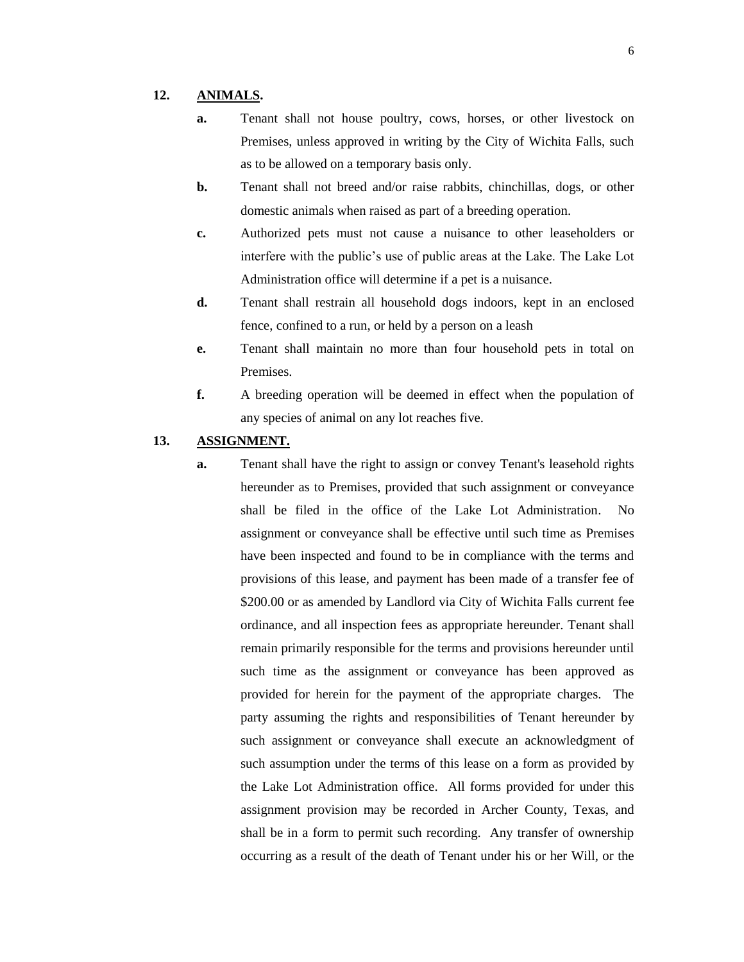#### **12. ANIMALS.**

- **a.** Tenant shall not house poultry, cows, horses, or other livestock on Premises, unless approved in writing by the City of Wichita Falls, such as to be allowed on a temporary basis only.
- **b.** Tenant shall not breed and/or raise rabbits, chinchillas, dogs, or other domestic animals when raised as part of a breeding operation.
- **c.** Authorized pets must not cause a nuisance to other leaseholders or interfere with the public's use of public areas at the Lake. The Lake Lot Administration office will determine if a pet is a nuisance.
- **d.** Tenant shall restrain all household dogs indoors, kept in an enclosed fence, confined to a run, or held by a person on a leash
- **e.** Tenant shall maintain no more than four household pets in total on Premises.
- **f.** A breeding operation will be deemed in effect when the population of any species of animal on any lot reaches five.

#### **13. ASSIGNMENT.**

**a.** Tenant shall have the right to assign or convey Tenant's leasehold rights hereunder as to Premises, provided that such assignment or conveyance shall be filed in the office of the Lake Lot Administration. No assignment or conveyance shall be effective until such time as Premises have been inspected and found to be in compliance with the terms and provisions of this lease, and payment has been made of a transfer fee of \$200.00 or as amended by Landlord via City of Wichita Falls current fee ordinance, and all inspection fees as appropriate hereunder. Tenant shall remain primarily responsible for the terms and provisions hereunder until such time as the assignment or conveyance has been approved as provided for herein for the payment of the appropriate charges. The party assuming the rights and responsibilities of Tenant hereunder by such assignment or conveyance shall execute an acknowledgment of such assumption under the terms of this lease on a form as provided by the Lake Lot Administration office. All forms provided for under this assignment provision may be recorded in Archer County, Texas, and shall be in a form to permit such recording. Any transfer of ownership occurring as a result of the death of Tenant under his or her Will, or the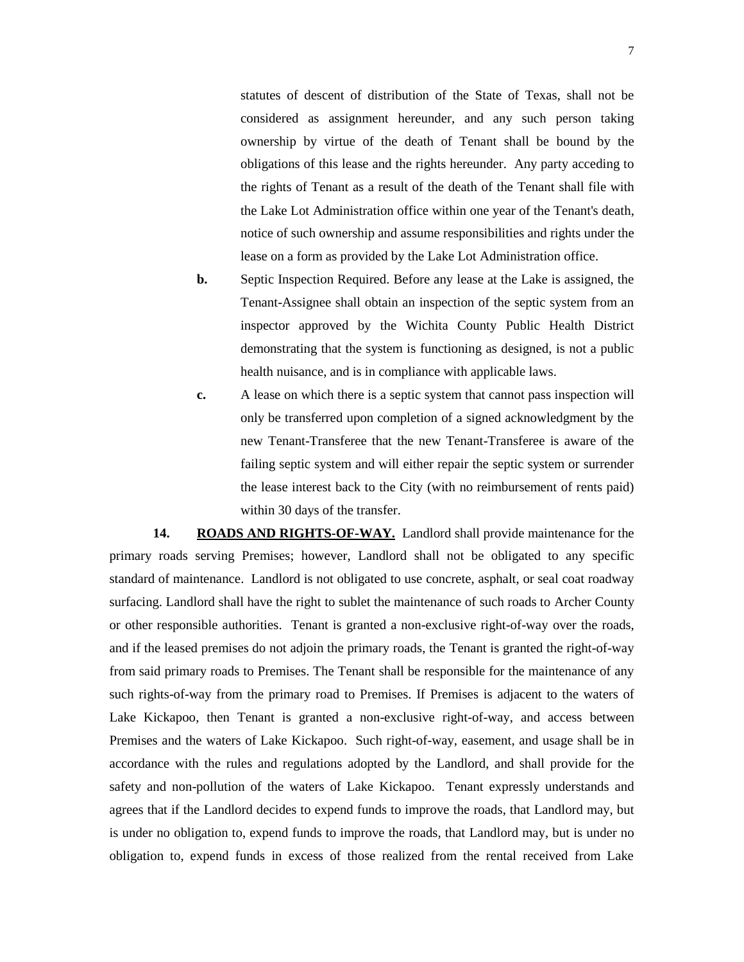statutes of descent of distribution of the State of Texas, shall not be considered as assignment hereunder, and any such person taking ownership by virtue of the death of Tenant shall be bound by the obligations of this lease and the rights hereunder. Any party acceding to the rights of Tenant as a result of the death of the Tenant shall file with the Lake Lot Administration office within one year of the Tenant's death, notice of such ownership and assume responsibilities and rights under the lease on a form as provided by the Lake Lot Administration office.

- **b.** Septic Inspection Required. Before any lease at the Lake is assigned, the Tenant-Assignee shall obtain an inspection of the septic system from an inspector approved by the Wichita County Public Health District demonstrating that the system is functioning as designed, is not a public health nuisance, and is in compliance with applicable laws.
- **c.** A lease on which there is a septic system that cannot pass inspection will only be transferred upon completion of a signed acknowledgment by the new Tenant-Transferee that the new Tenant-Transferee is aware of the failing septic system and will either repair the septic system or surrender the lease interest back to the City (with no reimbursement of rents paid) within 30 days of the transfer.

**14. ROADS AND RIGHTS-OF-WAY.** Landlord shall provide maintenance for the primary roads serving Premises; however, Landlord shall not be obligated to any specific standard of maintenance. Landlord is not obligated to use concrete, asphalt, or seal coat roadway surfacing. Landlord shall have the right to sublet the maintenance of such roads to Archer County or other responsible authorities. Tenant is granted a non-exclusive right-of-way over the roads, and if the leased premises do not adjoin the primary roads, the Tenant is granted the right-of-way from said primary roads to Premises. The Tenant shall be responsible for the maintenance of any such rights-of-way from the primary road to Premises. If Premises is adjacent to the waters of Lake Kickapoo, then Tenant is granted a non-exclusive right-of-way, and access between Premises and the waters of Lake Kickapoo. Such right-of-way, easement, and usage shall be in accordance with the rules and regulations adopted by the Landlord, and shall provide for the safety and non-pollution of the waters of Lake Kickapoo. Tenant expressly understands and agrees that if the Landlord decides to expend funds to improve the roads, that Landlord may, but is under no obligation to, expend funds to improve the roads, that Landlord may, but is under no obligation to, expend funds in excess of those realized from the rental received from Lake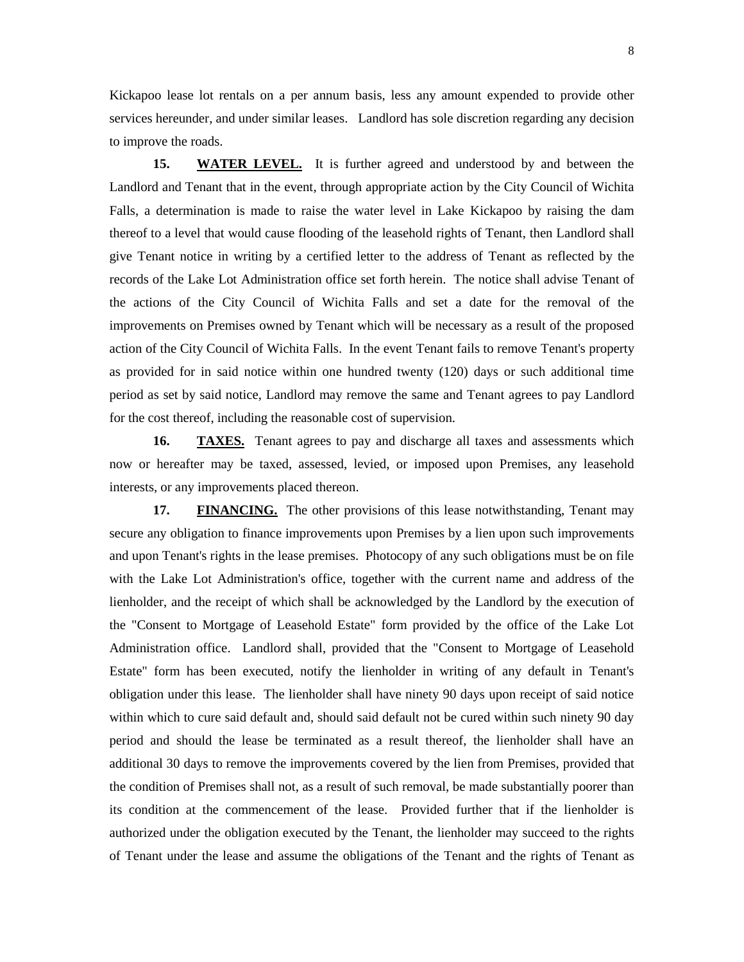Kickapoo lease lot rentals on a per annum basis, less any amount expended to provide other services hereunder, and under similar leases. Landlord has sole discretion regarding any decision to improve the roads.

**15. WATER LEVEL.** It is further agreed and understood by and between the Landlord and Tenant that in the event, through appropriate action by the City Council of Wichita Falls, a determination is made to raise the water level in Lake Kickapoo by raising the dam thereof to a level that would cause flooding of the leasehold rights of Tenant, then Landlord shall give Tenant notice in writing by a certified letter to the address of Tenant as reflected by the records of the Lake Lot Administration office set forth herein. The notice shall advise Tenant of the actions of the City Council of Wichita Falls and set a date for the removal of the improvements on Premises owned by Tenant which will be necessary as a result of the proposed action of the City Council of Wichita Falls. In the event Tenant fails to remove Tenant's property as provided for in said notice within one hundred twenty (120) days or such additional time period as set by said notice, Landlord may remove the same and Tenant agrees to pay Landlord for the cost thereof, including the reasonable cost of supervision.

**16. TAXES.** Tenant agrees to pay and discharge all taxes and assessments which now or hereafter may be taxed, assessed, levied, or imposed upon Premises, any leasehold interests, or any improvements placed thereon.

**17. FINANCING.** The other provisions of this lease notwithstanding, Tenant may secure any obligation to finance improvements upon Premises by a lien upon such improvements and upon Tenant's rights in the lease premises. Photocopy of any such obligations must be on file with the Lake Lot Administration's office, together with the current name and address of the lienholder, and the receipt of which shall be acknowledged by the Landlord by the execution of the "Consent to Mortgage of Leasehold Estate" form provided by the office of the Lake Lot Administration office. Landlord shall, provided that the "Consent to Mortgage of Leasehold Estate" form has been executed, notify the lienholder in writing of any default in Tenant's obligation under this lease. The lienholder shall have ninety 90 days upon receipt of said notice within which to cure said default and, should said default not be cured within such ninety 90 day period and should the lease be terminated as a result thereof, the lienholder shall have an additional 30 days to remove the improvements covered by the lien from Premises, provided that the condition of Premises shall not, as a result of such removal, be made substantially poorer than its condition at the commencement of the lease. Provided further that if the lienholder is authorized under the obligation executed by the Tenant, the lienholder may succeed to the rights of Tenant under the lease and assume the obligations of the Tenant and the rights of Tenant as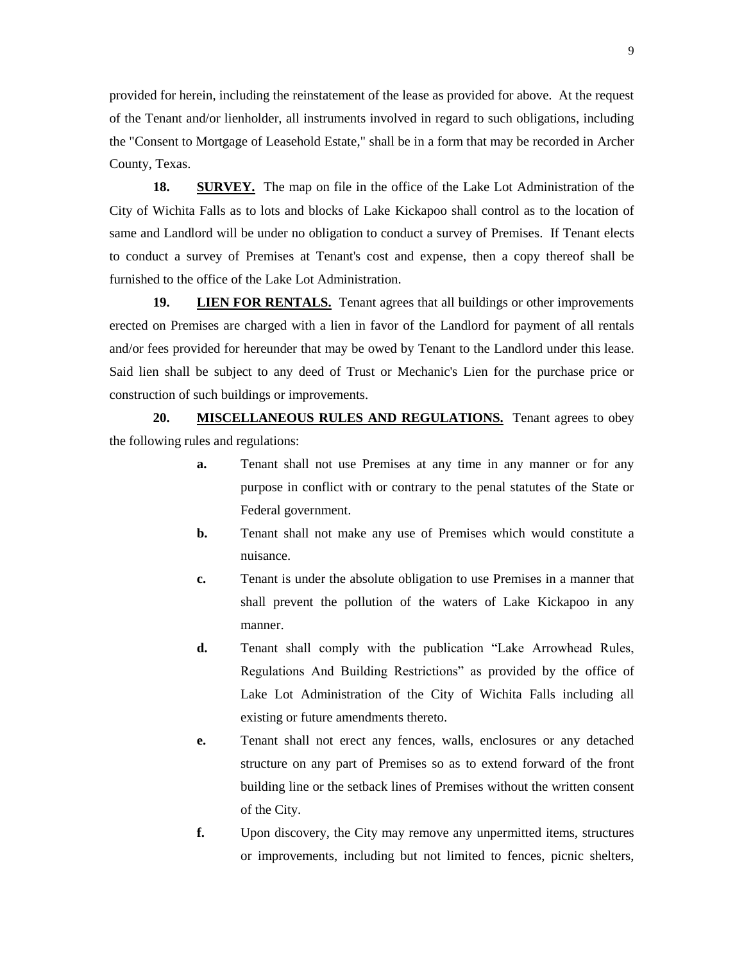provided for herein, including the reinstatement of the lease as provided for above. At the request of the Tenant and/or lienholder, all instruments involved in regard to such obligations, including the "Consent to Mortgage of Leasehold Estate," shall be in a form that may be recorded in Archer County, Texas.

**18. SURVEY.** The map on file in the office of the Lake Lot Administration of the City of Wichita Falls as to lots and blocks of Lake Kickapoo shall control as to the location of same and Landlord will be under no obligation to conduct a survey of Premises. If Tenant elects to conduct a survey of Premises at Tenant's cost and expense, then a copy thereof shall be furnished to the office of the Lake Lot Administration.

**19. LIEN FOR RENTALS.** Tenant agrees that all buildings or other improvements erected on Premises are charged with a lien in favor of the Landlord for payment of all rentals and/or fees provided for hereunder that may be owed by Tenant to the Landlord under this lease. Said lien shall be subject to any deed of Trust or Mechanic's Lien for the purchase price or construction of such buildings or improvements.

**20. MISCELLANEOUS RULES AND REGULATIONS.** Tenant agrees to obey the following rules and regulations:

- **a.** Tenant shall not use Premises at any time in any manner or for any purpose in conflict with or contrary to the penal statutes of the State or Federal government.
- **b.** Tenant shall not make any use of Premises which would constitute a nuisance.
- **c.** Tenant is under the absolute obligation to use Premises in a manner that shall prevent the pollution of the waters of Lake Kickapoo in any manner.
- **d.** Tenant shall comply with the publication "Lake Arrowhead Rules, Regulations And Building Restrictions" as provided by the office of Lake Lot Administration of the City of Wichita Falls including all existing or future amendments thereto.
- **e.** Tenant shall not erect any fences, walls, enclosures or any detached structure on any part of Premises so as to extend forward of the front building line or the setback lines of Premises without the written consent of the City.
- **f.** Upon discovery, the City may remove any unpermitted items, structures or improvements, including but not limited to fences, picnic shelters,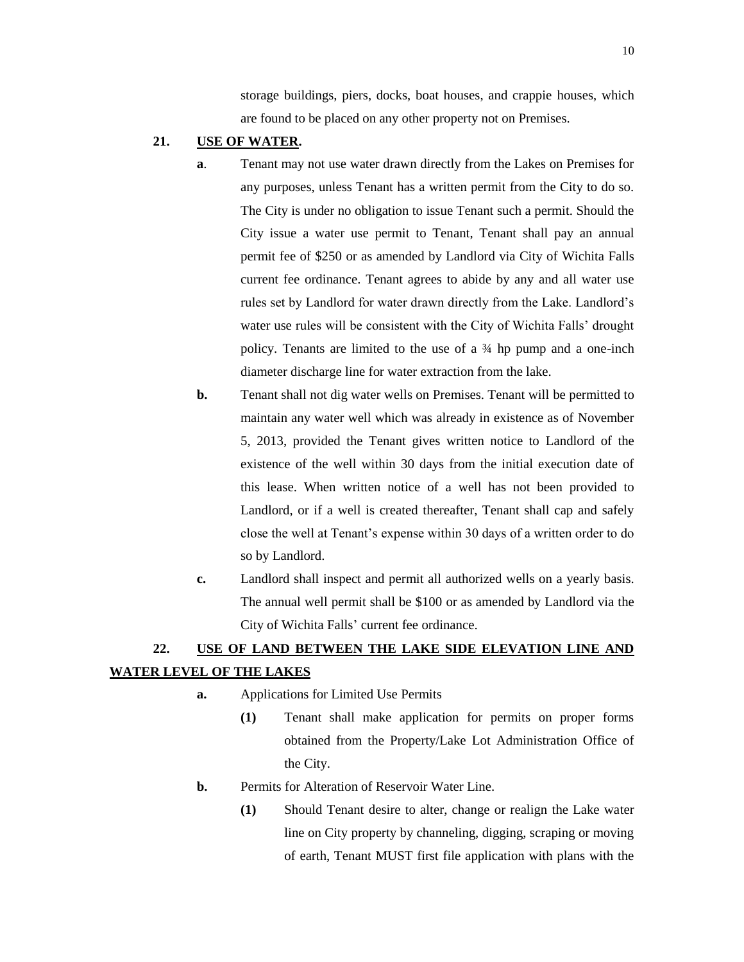storage buildings, piers, docks, boat houses, and crappie houses, which are found to be placed on any other property not on Premises.

## **21. USE OF WATER.**

- **a**. Tenant may not use water drawn directly from the Lakes on Premises for any purposes, unless Tenant has a written permit from the City to do so. The City is under no obligation to issue Tenant such a permit. Should the City issue a water use permit to Tenant, Tenant shall pay an annual permit fee of \$250 or as amended by Landlord via City of Wichita Falls current fee ordinance. Tenant agrees to abide by any and all water use rules set by Landlord for water drawn directly from the Lake. Landlord's water use rules will be consistent with the City of Wichita Falls' drought policy. Tenants are limited to the use of a ¾ hp pump and a one-inch diameter discharge line for water extraction from the lake.
- **b.** Tenant shall not dig water wells on Premises. Tenant will be permitted to maintain any water well which was already in existence as of November 5, 2013, provided the Tenant gives written notice to Landlord of the existence of the well within 30 days from the initial execution date of this lease. When written notice of a well has not been provided to Landlord, or if a well is created thereafter, Tenant shall cap and safely close the well at Tenant's expense within 30 days of a written order to do so by Landlord.
- **c.** Landlord shall inspect and permit all authorized wells on a yearly basis. The annual well permit shall be \$100 or as amended by Landlord via the City of Wichita Falls' current fee ordinance.

# **22. USE OF LAND BETWEEN THE LAKE SIDE ELEVATION LINE AND WATER LEVEL OF THE LAKES**

- **a.** Applications for Limited Use Permits
	- **(1)** Tenant shall make application for permits on proper forms obtained from the Property/Lake Lot Administration Office of the City.
- **b.** Permits for Alteration of Reservoir Water Line.
	- **(1)** Should Tenant desire to alter, change or realign the Lake water line on City property by channeling, digging, scraping or moving of earth, Tenant MUST first file application with plans with the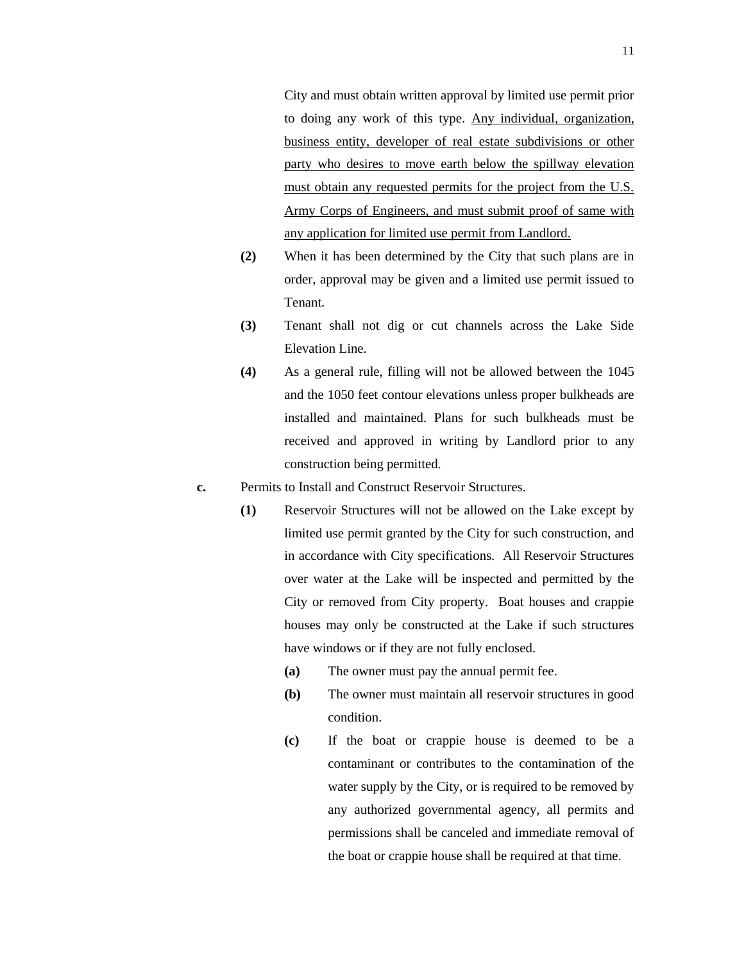City and must obtain written approval by limited use permit prior to doing any work of this type. Any individual, organization, business entity, developer of real estate subdivisions or other party who desires to move earth below the spillway elevation must obtain any requested permits for the project from the U.S. Army Corps of Engineers, and must submit proof of same with any application for limited use permit from Landlord.

- **(2)** When it has been determined by the City that such plans are in order, approval may be given and a limited use permit issued to Tenant.
- **(3)** Tenant shall not dig or cut channels across the Lake Side Elevation Line.
- **(4)** As a general rule, filling will not be allowed between the 1045 and the 1050 feet contour elevations unless proper bulkheads are installed and maintained. Plans for such bulkheads must be received and approved in writing by Landlord prior to any construction being permitted.
- **c.** Permits to Install and Construct Reservoir Structures.
	- **(1)** Reservoir Structures will not be allowed on the Lake except by limited use permit granted by the City for such construction, and in accordance with City specifications. All Reservoir Structures over water at the Lake will be inspected and permitted by the City or removed from City property. Boat houses and crappie houses may only be constructed at the Lake if such structures have windows or if they are not fully enclosed.
		- **(a)** The owner must pay the annual permit fee.
		- **(b)** The owner must maintain all reservoir structures in good condition.
		- **(c)** If the boat or crappie house is deemed to be a contaminant or contributes to the contamination of the water supply by the City, or is required to be removed by any authorized governmental agency, all permits and permissions shall be canceled and immediate removal of the boat or crappie house shall be required at that time.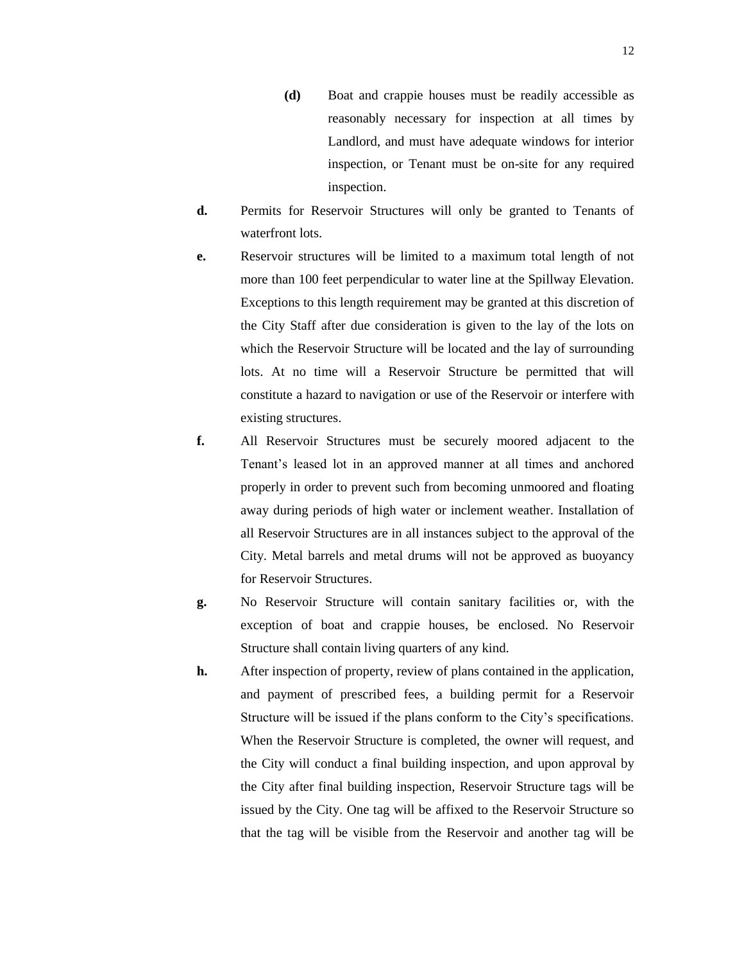- **(d)** Boat and crappie houses must be readily accessible as reasonably necessary for inspection at all times by Landlord, and must have adequate windows for interior inspection, or Tenant must be on-site for any required inspection.
- **d.** Permits for Reservoir Structures will only be granted to Tenants of waterfront lots.
- **e.** Reservoir structures will be limited to a maximum total length of not more than 100 feet perpendicular to water line at the Spillway Elevation. Exceptions to this length requirement may be granted at this discretion of the City Staff after due consideration is given to the lay of the lots on which the Reservoir Structure will be located and the lay of surrounding lots. At no time will a Reservoir Structure be permitted that will constitute a hazard to navigation or use of the Reservoir or interfere with existing structures.
- **f.** All Reservoir Structures must be securely moored adjacent to the Tenant's leased lot in an approved manner at all times and anchored properly in order to prevent such from becoming unmoored and floating away during periods of high water or inclement weather. Installation of all Reservoir Structures are in all instances subject to the approval of the City. Metal barrels and metal drums will not be approved as buoyancy for Reservoir Structures.
- **g.** No Reservoir Structure will contain sanitary facilities or, with the exception of boat and crappie houses, be enclosed. No Reservoir Structure shall contain living quarters of any kind.
- **h.** After inspection of property, review of plans contained in the application, and payment of prescribed fees, a building permit for a Reservoir Structure will be issued if the plans conform to the City's specifications. When the Reservoir Structure is completed, the owner will request, and the City will conduct a final building inspection, and upon approval by the City after final building inspection, Reservoir Structure tags will be issued by the City. One tag will be affixed to the Reservoir Structure so that the tag will be visible from the Reservoir and another tag will be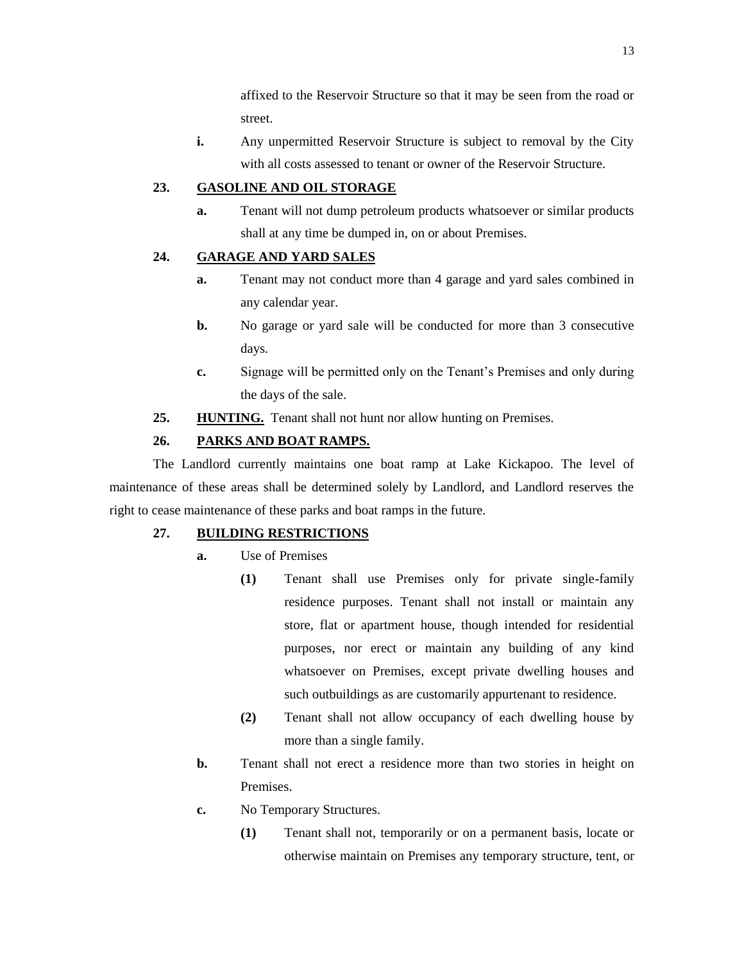affixed to the Reservoir Structure so that it may be seen from the road or street.

**i.** Any unpermitted Reservoir Structure is subject to removal by the City with all costs assessed to tenant or owner of the Reservoir Structure.

## **23. GASOLINE AND OIL STORAGE**

**a.** Tenant will not dump petroleum products whatsoever or similar products shall at any time be dumped in, on or about Premises.

# **24. GARAGE AND YARD SALES**

- **a.** Tenant may not conduct more than 4 garage and yard sales combined in any calendar year.
- **b.** No garage or yard sale will be conducted for more than 3 consecutive days.
- **c.** Signage will be permitted only on the Tenant's Premises and only during the days of the sale.
- **25. HUNTING.** Tenant shall not hunt nor allow hunting on Premises.

# **26. PARKS AND BOAT RAMPS.**

The Landlord currently maintains one boat ramp at Lake Kickapoo. The level of maintenance of these areas shall be determined solely by Landlord, and Landlord reserves the right to cease maintenance of these parks and boat ramps in the future.

#### **27. BUILDING RESTRICTIONS**

- **a.** Use of Premises
	- **(1)** Tenant shall use Premises only for private single-family residence purposes. Tenant shall not install or maintain any store, flat or apartment house, though intended for residential purposes, nor erect or maintain any building of any kind whatsoever on Premises, except private dwelling houses and such outbuildings as are customarily appurtenant to residence.
	- **(2)** Tenant shall not allow occupancy of each dwelling house by more than a single family.
- **b.** Tenant shall not erect a residence more than two stories in height on Premises.
- **c.** No Temporary Structures.
	- **(1)** Tenant shall not, temporarily or on a permanent basis, locate or otherwise maintain on Premises any temporary structure, tent, or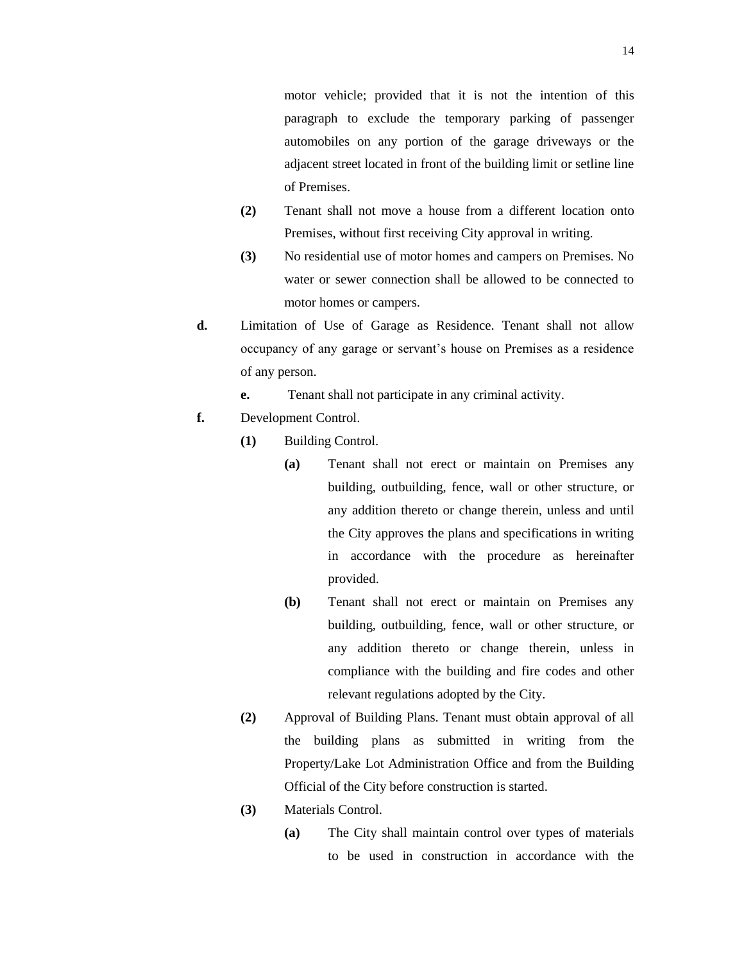motor vehicle; provided that it is not the intention of this paragraph to exclude the temporary parking of passenger automobiles on any portion of the garage driveways or the adjacent street located in front of the building limit or setline line of Premises.

- **(2)** Tenant shall not move a house from a different location onto Premises, without first receiving City approval in writing.
- **(3)** No residential use of motor homes and campers on Premises. No water or sewer connection shall be allowed to be connected to motor homes or campers.
- **d.** Limitation of Use of Garage as Residence. Tenant shall not allow occupancy of any garage or servant's house on Premises as a residence of any person.
	- **e.** Tenant shall not participate in any criminal activity.
- **f.** Development Control.
	- **(1)** Building Control.
		- **(a)** Tenant shall not erect or maintain on Premises any building, outbuilding, fence, wall or other structure, or any addition thereto or change therein, unless and until the City approves the plans and specifications in writing in accordance with the procedure as hereinafter provided.
		- **(b)** Tenant shall not erect or maintain on Premises any building, outbuilding, fence, wall or other structure, or any addition thereto or change therein, unless in compliance with the building and fire codes and other relevant regulations adopted by the City.
	- **(2)** Approval of Building Plans. Tenant must obtain approval of all the building plans as submitted in writing from the Property/Lake Lot Administration Office and from the Building Official of the City before construction is started.
	- **(3)** Materials Control.
		- **(a)** The City shall maintain control over types of materials to be used in construction in accordance with the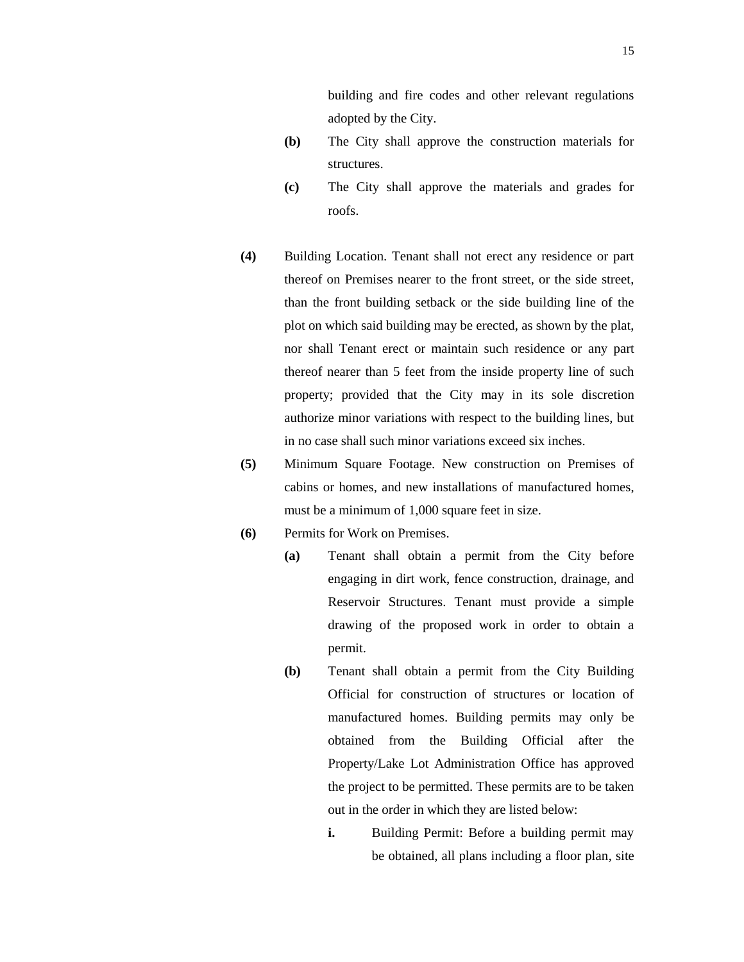building and fire codes and other relevant regulations adopted by the City.

- **(b)** The City shall approve the construction materials for structures.
- **(c)** The City shall approve the materials and grades for roofs.
- **(4)** Building Location. Tenant shall not erect any residence or part thereof on Premises nearer to the front street, or the side street, than the front building setback or the side building line of the plot on which said building may be erected, as shown by the plat, nor shall Tenant erect or maintain such residence or any part thereof nearer than 5 feet from the inside property line of such property; provided that the City may in its sole discretion authorize minor variations with respect to the building lines, but in no case shall such minor variations exceed six inches.
- **(5)** Minimum Square Footage. New construction on Premises of cabins or homes, and new installations of manufactured homes, must be a minimum of 1,000 square feet in size.
- **(6)** Permits for Work on Premises.
	- **(a)** Tenant shall obtain a permit from the City before engaging in dirt work, fence construction, drainage, and Reservoir Structures. Tenant must provide a simple drawing of the proposed work in order to obtain a permit.
		- **(b)** Tenant shall obtain a permit from the City Building Official for construction of structures or location of manufactured homes. Building permits may only be obtained from the Building Official after the Property/Lake Lot Administration Office has approved the project to be permitted. These permits are to be taken out in the order in which they are listed below:
			- **i.** Building Permit: Before a building permit may be obtained, all plans including a floor plan, site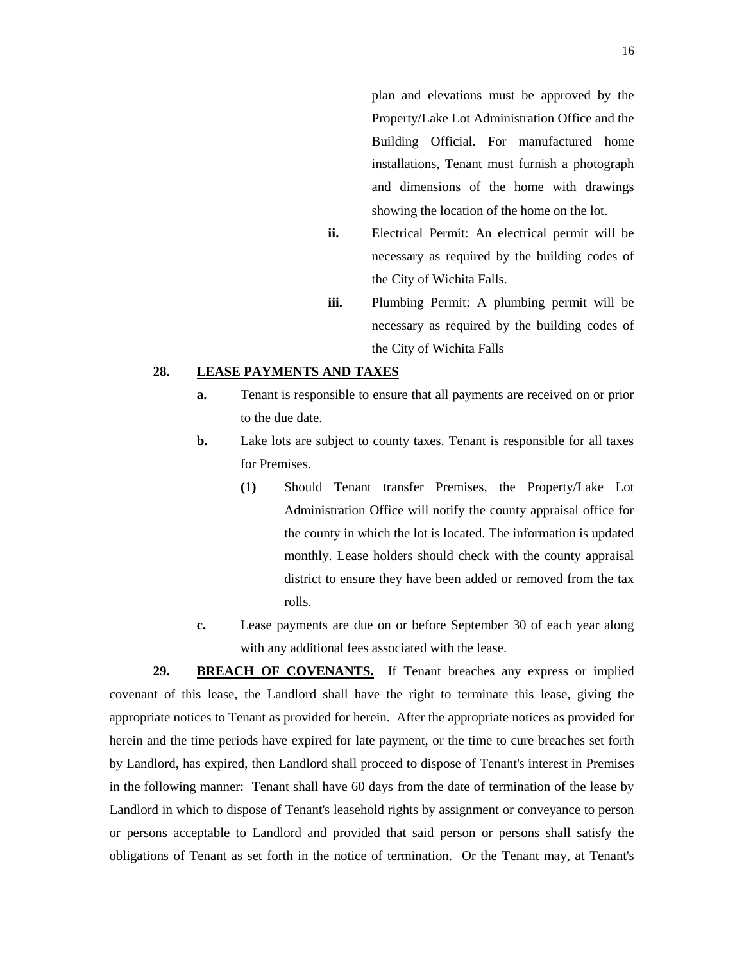plan and elevations must be approved by the Property/Lake Lot Administration Office and the Building Official. For manufactured home installations, Tenant must furnish a photograph and dimensions of the home with drawings showing the location of the home on the lot.

- **ii.** Electrical Permit: An electrical permit will be necessary as required by the building codes of the City of Wichita Falls.
- **iii.** Plumbing Permit: A plumbing permit will be necessary as required by the building codes of the City of Wichita Falls

#### **28. LEASE PAYMENTS AND TAXES**

- **a.** Tenant is responsible to ensure that all payments are received on or prior to the due date.
- **b.** Lake lots are subject to county taxes. Tenant is responsible for all taxes for Premises.
	- **(1)** Should Tenant transfer Premises, the Property/Lake Lot Administration Office will notify the county appraisal office for the county in which the lot is located. The information is updated monthly. Lease holders should check with the county appraisal district to ensure they have been added or removed from the tax rolls.
- **c.** Lease payments are due on or before September 30 of each year along with any additional fees associated with the lease.

**29. BREACH OF COVENANTS.** If Tenant breaches any express or implied covenant of this lease, the Landlord shall have the right to terminate this lease, giving the appropriate notices to Tenant as provided for herein. After the appropriate notices as provided for herein and the time periods have expired for late payment, or the time to cure breaches set forth by Landlord, has expired, then Landlord shall proceed to dispose of Tenant's interest in Premises in the following manner: Tenant shall have 60 days from the date of termination of the lease by Landlord in which to dispose of Tenant's leasehold rights by assignment or conveyance to person or persons acceptable to Landlord and provided that said person or persons shall satisfy the obligations of Tenant as set forth in the notice of termination. Or the Tenant may, at Tenant's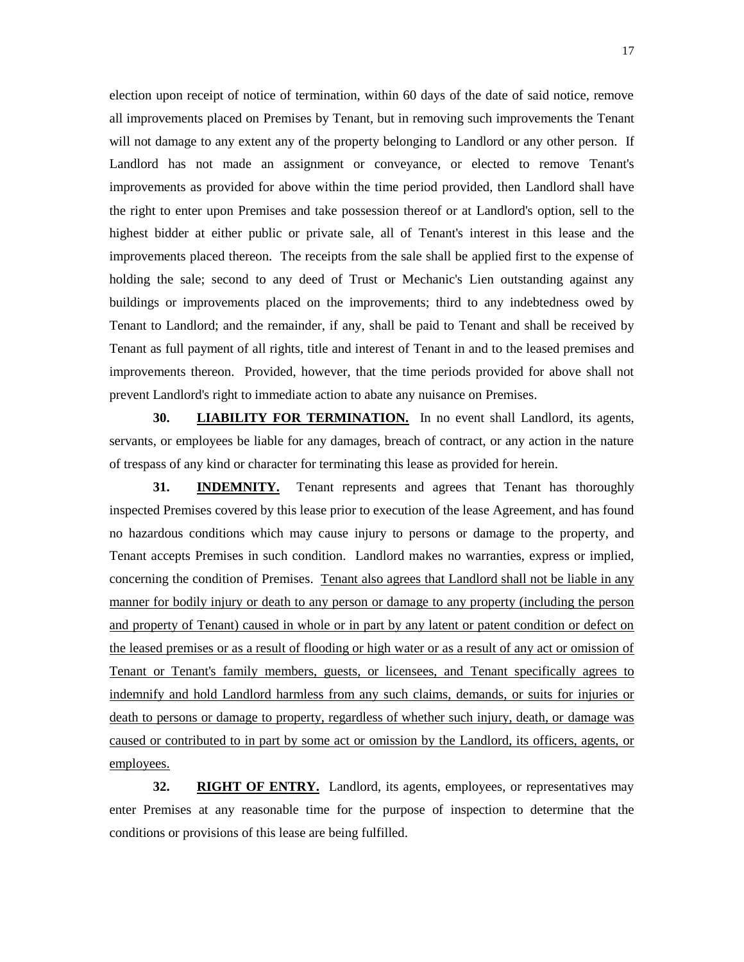election upon receipt of notice of termination, within 60 days of the date of said notice, remove all improvements placed on Premises by Tenant, but in removing such improvements the Tenant will not damage to any extent any of the property belonging to Landlord or any other person. If Landlord has not made an assignment or conveyance, or elected to remove Tenant's improvements as provided for above within the time period provided, then Landlord shall have the right to enter upon Premises and take possession thereof or at Landlord's option, sell to the highest bidder at either public or private sale, all of Tenant's interest in this lease and the improvements placed thereon. The receipts from the sale shall be applied first to the expense of holding the sale; second to any deed of Trust or Mechanic's Lien outstanding against any buildings or improvements placed on the improvements; third to any indebtedness owed by Tenant to Landlord; and the remainder, if any, shall be paid to Tenant and shall be received by Tenant as full payment of all rights, title and interest of Tenant in and to the leased premises and improvements thereon. Provided, however, that the time periods provided for above shall not prevent Landlord's right to immediate action to abate any nuisance on Premises.

**30. LIABILITY FOR TERMINATION.** In no event shall Landlord, its agents, servants, or employees be liable for any damages, breach of contract, or any action in the nature of trespass of any kind or character for terminating this lease as provided for herein.

**31. INDEMNITY.** Tenant represents and agrees that Tenant has thoroughly inspected Premises covered by this lease prior to execution of the lease Agreement, and has found no hazardous conditions which may cause injury to persons or damage to the property, and Tenant accepts Premises in such condition. Landlord makes no warranties, express or implied, concerning the condition of Premises. Tenant also agrees that Landlord shall not be liable in any manner for bodily injury or death to any person or damage to any property (including the person and property of Tenant) caused in whole or in part by any latent or patent condition or defect on the leased premises or as a result of flooding or high water or as a result of any act or omission of Tenant or Tenant's family members, guests, or licensees, and Tenant specifically agrees to indemnify and hold Landlord harmless from any such claims, demands, or suits for injuries or death to persons or damage to property, regardless of whether such injury, death, or damage was caused or contributed to in part by some act or omission by the Landlord, its officers, agents, or employees.

**32. RIGHT OF ENTRY.** Landlord, its agents, employees, or representatives may enter Premises at any reasonable time for the purpose of inspection to determine that the conditions or provisions of this lease are being fulfilled.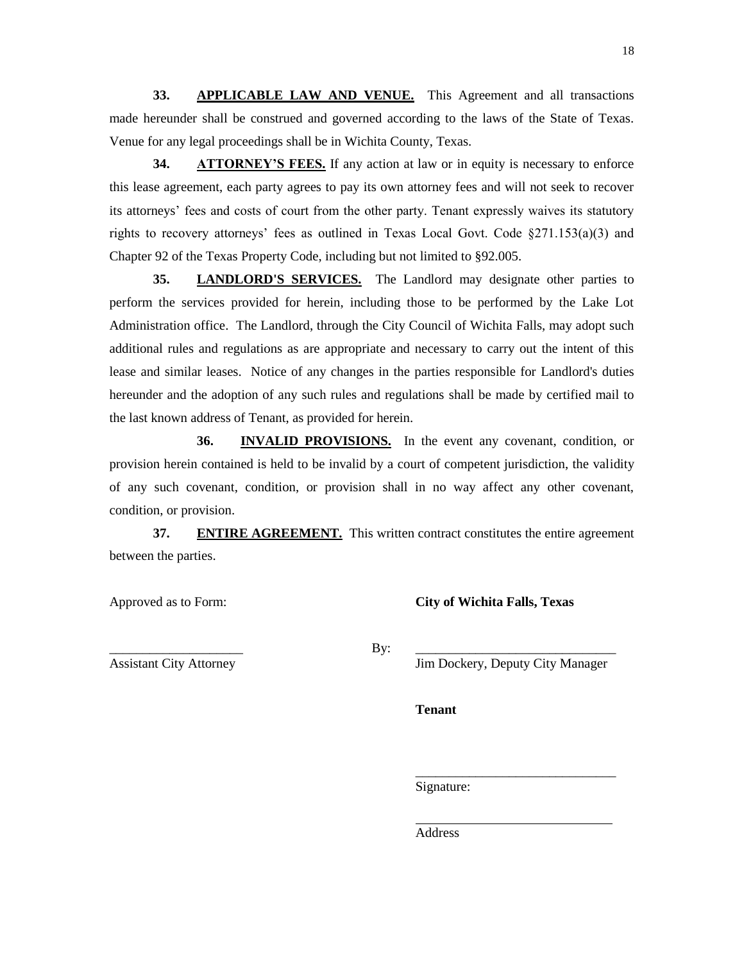**33. APPLICABLE LAW AND VENUE.** This Agreement and all transactions made hereunder shall be construed and governed according to the laws of the State of Texas. Venue for any legal proceedings shall be in Wichita County, Texas.

**34. ATTORNEY'S FEES.** If any action at law or in equity is necessary to enforce this lease agreement, each party agrees to pay its own attorney fees and will not seek to recover its attorneys' fees and costs of court from the other party. Tenant expressly waives its statutory rights to recovery attorneys' fees as outlined in Texas Local Govt. Code §271.153(a)(3) and Chapter 92 of the Texas Property Code, including but not limited to §92.005.

**35. LANDLORD'S SERVICES.** The Landlord may designate other parties to perform the services provided for herein, including those to be performed by the Lake Lot Administration office. The Landlord, through the City Council of Wichita Falls, may adopt such additional rules and regulations as are appropriate and necessary to carry out the intent of this lease and similar leases. Notice of any changes in the parties responsible for Landlord's duties hereunder and the adoption of any such rules and regulations shall be made by certified mail to the last known address of Tenant, as provided for herein.

**36. INVALID PROVISIONS.** In the event any covenant, condition, or provision herein contained is held to be invalid by a court of competent jurisdiction, the validity of any such covenant, condition, or provision shall in no way affect any other covenant, condition, or provision.

**37. ENTIRE AGREEMENT.** This written contract constitutes the entire agreement between the parties.

Approved as to Form: **City of Wichita Falls, Texas**

\_\_\_\_\_\_\_\_\_\_\_\_\_\_\_\_\_\_\_\_ By: \_\_\_\_\_\_\_\_\_\_\_\_\_\_\_\_\_\_\_\_\_\_\_\_\_\_\_\_\_\_

Assistant City Attorney Jim Dockery, Deputy City Manager

\_\_\_\_\_\_\_\_\_\_\_\_\_\_\_\_\_\_\_\_\_\_\_\_\_\_\_\_\_\_

**Tenant**

Signature:

 $\overline{a}$ 

Address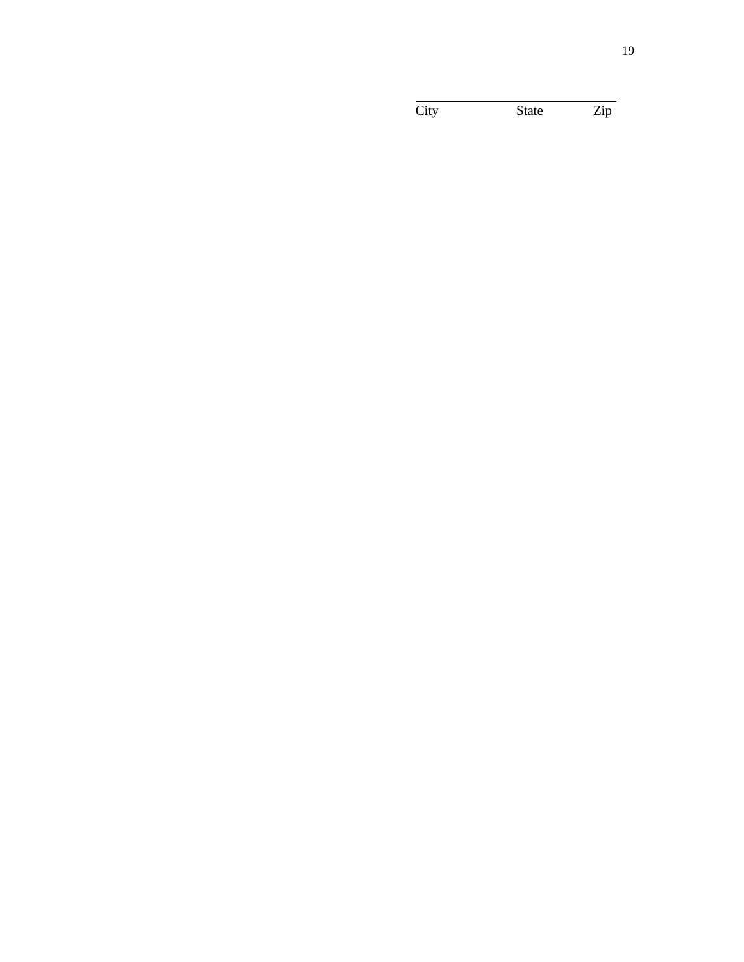City State Zip

l